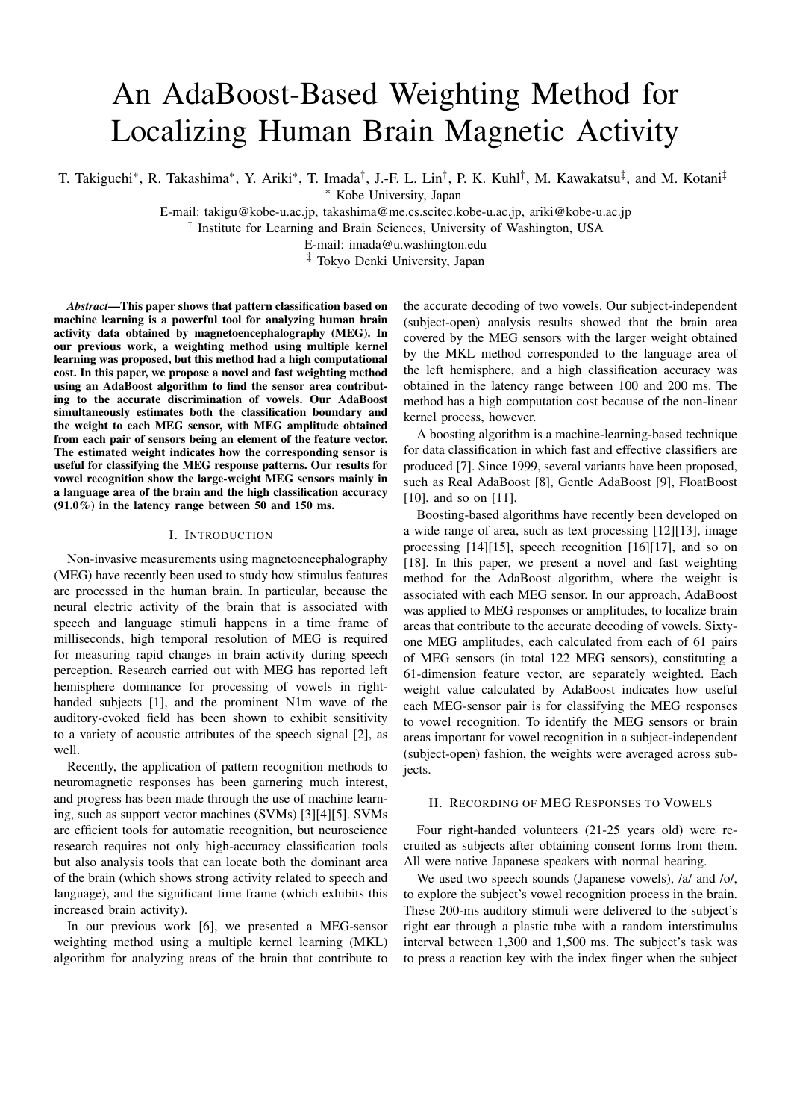# An AdaBoost-Based Weighting Method for Localizing Human Brain Magnetic Activity

T. Takiguchi∗, R. Takashima∗, Y. Ariki∗, T. Imada†, J.-F. L. Lin†, P. K. Kuhl†, M. Kawakatsu‡, and M. Kotani‡

∗ Kobe University, Japan

E-mail: takigu@kobe-u.ac.jp, takashima@me.cs.scitec.kobe-u.ac.jp, ariki@kobe-u.ac.jp

† Institute for Learning and Brain Sciences, University of Washington, USA

E-mail: imada@u.washington.edu

‡ Tokyo Denki University, Japan

*Abstract*—This paper shows that pattern classification based on machine learning is a powerful tool for analyzing human brain activity data obtained by magnetoencephalography (MEG). In our previous work, a weighting method using multiple kernel learning was proposed, but this method had a high computational cost. In this paper, we propose a novel and fast weighting method using an AdaBoost algorithm to find the sensor area contributing to the accurate discrimination of vowels. Our AdaBoost simultaneously estimates both the classification boundary and the weight to each MEG sensor, with MEG amplitude obtained from each pair of sensors being an element of the feature vector. The estimated weight indicates how the corresponding sensor is useful for classifying the MEG response patterns. Our results for vowel recognition show the large-weight MEG sensors mainly in a language area of the brain and the high classification accuracy (91.0%) in the latency range between 50 and 150 ms.

## I. INTRODUCTION

Non-invasive measurements using magnetoencephalography (MEG) have recently been used to study how stimulus features are processed in the human brain. In particular, because the neural electric activity of the brain that is associated with speech and language stimuli happens in a time frame of milliseconds, high temporal resolution of MEG is required for measuring rapid changes in brain activity during speech perception. Research carried out with MEG has reported left hemisphere dominance for processing of vowels in righthanded subjects [1], and the prominent N1m wave of the auditory-evoked field has been shown to exhibit sensitivity to a variety of acoustic attributes of the speech signal [2], as well.

Recently, the application of pattern recognition methods to neuromagnetic responses has been garnering much interest, and progress has been made through the use of machine learning, such as support vector machines (SVMs) [3][4][5]. SVMs are efficient tools for automatic recognition, but neuroscience research requires not only high-accuracy classification tools but also analysis tools that can locate both the dominant area of the brain (which shows strong activity related to speech and language), and the significant time frame (which exhibits this increased brain activity).

In our previous work [6], we presented a MEG-sensor weighting method using a multiple kernel learning (MKL) algorithm for analyzing areas of the brain that contribute to

the accurate decoding of two vowels. Our subject-independent (subject-open) analysis results showed that the brain area covered by the MEG sensors with the larger weight obtained by the MKL method corresponded to the language area of the left hemisphere, and a high classification accuracy was obtained in the latency range between 100 and 200 ms. The method has a high computation cost because of the non-linear kernel process, however.

A boosting algorithm is a machine-learning-based technique for data classification in which fast and effective classifiers are produced [7]. Since 1999, several variants have been proposed, such as Real AdaBoost [8], Gentle AdaBoost [9], FloatBoost [10], and so on [11].

Boosting-based algorithms have recently been developed on a wide range of area, such as text processing [12][13], image processing [14][15], speech recognition [16][17], and so on [18]. In this paper, we present a novel and fast weighting method for the AdaBoost algorithm, where the weight is associated with each MEG sensor. In our approach, AdaBoost was applied to MEG responses or amplitudes, to localize brain areas that contribute to the accurate decoding of vowels. Sixtyone MEG amplitudes, each calculated from each of 61 pairs of MEG sensors (in total 122 MEG sensors), constituting a 61-dimension feature vector, are separately weighted. Each weight value calculated by AdaBoost indicates how useful each MEG-sensor pair is for classifying the MEG responses to vowel recognition. To identify the MEG sensors or brain areas important for vowel recognition in a subject-independent (subject-open) fashion, the weights were averaged across subjects.

## II. RECORDING OF MEG RESPONSES TO VOWELS

Four right-handed volunteers (21-25 years old) were recruited as subjects after obtaining consent forms from them. All were native Japanese speakers with normal hearing.

We used two speech sounds (Japanese vowels), /a/ and /o/, to explore the subject's vowel recognition process in the brain. These 200-ms auditory stimuli were delivered to the subject's right ear through a plastic tube with a random interstimulus interval between 1,300 and 1,500 ms. The subject's task was to press a reaction key with the index finger when the subject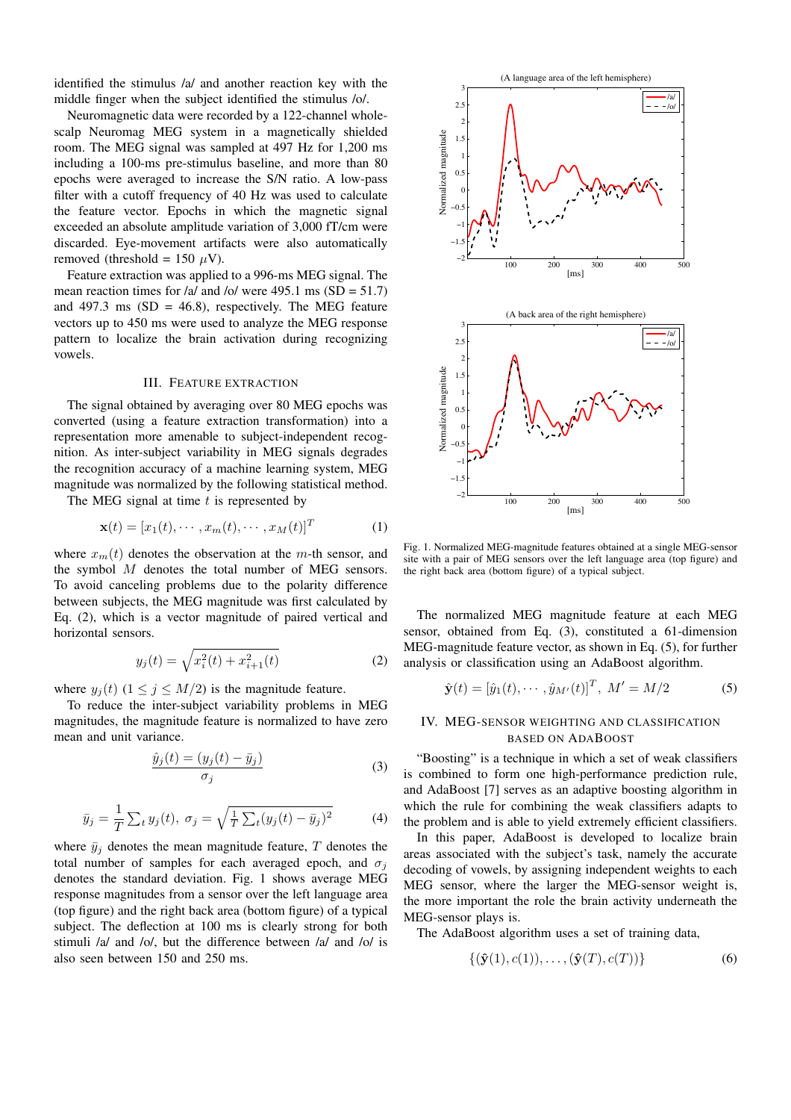identified the stimulus /a/ and another reaction key with the middle finger when the subject identified the stimulus /o/.

Neuromagnetic data were recorded by a 122-channel wholescalp Neuromag MEG system in a magnetically shielded room. The MEG signal was sampled at 497 Hz for 1,200 ms including a 100-ms pre-stimulus baseline, and more than 80 epochs were averaged to increase the S/N ratio. A low-pass filter with a cutoff frequency of 40 Hz was used to calculate the feature vector. Epochs in which the magnetic signal exceeded an absolute amplitude variation of 3,000 fT/cm were discarded. Eye-movement artifacts were also automatically removed (threshold = 150  $\mu$ V).

Feature extraction was applied to a 996-ms MEG signal. The mean reaction times for /a/ and /o/ were 495.1 ms  $(SD = 51.7)$ and 497.3 ms  $(SD = 46.8)$ , respectively. The MEG feature vectors up to 450 ms were used to analyze the MEG response pattern to localize the brain activation during recognizing vowels.

#### III. FEATURE EXTRACTION

The signal obtained by averaging over 80 MEG epochs was converted (using a feature extraction transformation) into a representation more amenable to subject-independent recognition. As inter-subject variability in MEG signals degrades the recognition accuracy of a machine learning system, MEG magnitude was normalized by the following statistical method.

The MEG signal at time  $t$  is represented by

$$
\mathbf{x}(t) = [x_1(t), \cdots, x_m(t), \cdots, x_M(t)]^T
$$
 (1)

where  $x_m(t)$  denotes the observation at the m-th sensor, and the symbol M denotes the total number of MEG sensors. To avoid canceling problems due to the polarity difference between subjects, the MEG magnitude was first calculated by Eq. (2), which is a vector magnitude of paired vertical and horizontal sensors.

$$
y_j(t) = \sqrt{x_i^2(t) + x_{i+1}^2(t)}
$$
 (2)

where  $y_j(t)$  ( $1 \le j \le M/2$ ) is the magnitude feature.

To reduce the inter-subject variability problems in MEG magnitudes, the magnitude feature is normalized to have zero mean and unit variance.

$$
\frac{\hat{y}_j(t) = (y_j(t) - \bar{y}_j)}{\sigma_j} \tag{3}
$$

$$
\bar{y}_j = \frac{1}{T} \sum_t y_j(t), \ \sigma_j = \sqrt{\frac{1}{T} \sum_t (y_j(t) - \bar{y}_j)^2}
$$
 (4)

where  $\bar{y}_i$  denotes the mean magnitude feature, T denotes the total number of samples for each averaged epoch, and  $\sigma_i$ denotes the standard deviation. Fig. 1 shows average MEG response magnitudes from a sensor over the left language area (top figure) and the right back area (bottom figure) of a typical subject. The deflection at 100 ms is clearly strong for both stimuli /a/ and /o/, but the difference between /a/ and /o/ is also seen between 150 and 250 ms.



Fig. 1. Normalized MEG-magnitude features obtained at a single MEG-sensor site with a pair of MEG sensors over the left language area (top figure) and the right back area (bottom figure) of a typical subject.

The normalized MEG magnitude feature at each MEG sensor, obtained from Eq. (3), constituted a 61-dimension MEG-magnitude feature vector, as shown in Eq. (5), for further analysis or classification using an AdaBoost algorithm.

$$
\hat{\mathbf{y}}(t) = [\hat{y}_1(t), \cdots, \hat{y}_{M'}(t)]^T, M' = M/2
$$
 (5)

## IV. MEG-SENSOR WEIGHTING AND CLASSIFICATION BASED ON ADABOOST

"Boosting" is a technique in which a set of weak classifiers is combined to form one high-performance prediction rule, and AdaBoost [7] serves as an adaptive boosting algorithm in which the rule for combining the weak classifiers adapts to the problem and is able to yield extremely efficient classifiers.

In this paper, AdaBoost is developed to localize brain areas associated with the subject's task, namely the accurate decoding of vowels, by assigning independent weights to each MEG sensor, where the larger the MEG-sensor weight is, the more important the role the brain activity underneath the MEG-sensor plays is.

The AdaBoost algorithm uses a set of training data,

$$
\{(\hat{\mathbf{y}}(1), c(1)), \dots, (\hat{\mathbf{y}}(T), c(T))\}\tag{6}
$$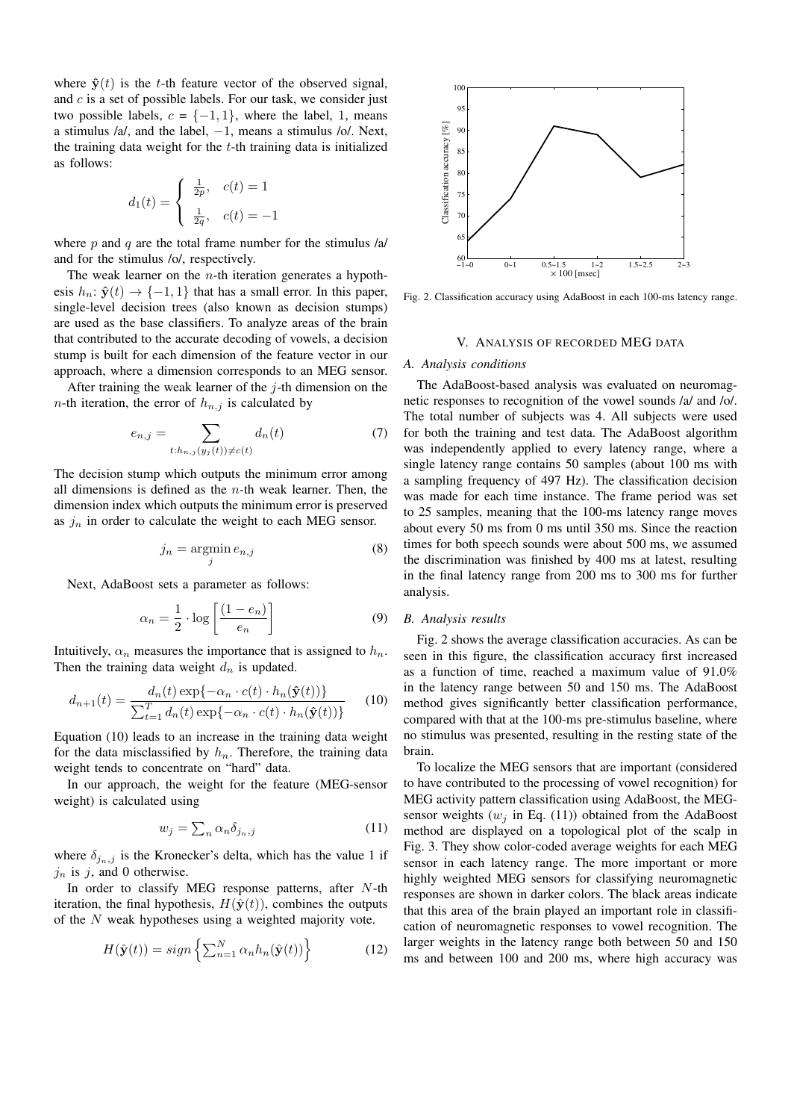where  $\hat{y}(t)$  is the t-th feature vector of the observed signal, and  $c$  is a set of possible labels. For our task, we consider just two possible labels,  $c = \{-1, 1\}$ , where the label, 1, means a stimulus  $/a/$ , and the label,  $-1$ , means a stimulus  $/o/$ . Next, the training data weight for the  $t$ -th training data is initialized as follows:

$$
d_1(t) = \begin{cases} \frac{1}{2p}, & c(t) = 1\\ \frac{1}{2q}, & c(t) = -1 \end{cases}
$$

where  $p$  and  $q$  are the total frame number for the stimulus  $\lambda$ a and for the stimulus /o/, respectively.

The weak learner on the  $n$ -th iteration generates a hypothesis  $h_n$ :  $\hat{\mathbf{y}}(t) \rightarrow \{-1, 1\}$  that has a small error. In this paper, single-level decision trees (also known as decision stumps) are used as the base classifiers. To analyze areas of the brain that contributed to the accurate decoding of vowels, a decision stump is built for each dimension of the feature vector in our approach, where a dimension corresponds to an MEG sensor.

After training the weak learner of the  $j$ -th dimension on the *n*-th iteration, the error of  $h_{n,j}$  is calculated by

$$
e_{n,j} = \sum_{t:h_{n,j}(y_j(t)) \neq c(t)} d_n(t) \tag{7}
$$

The decision stump which outputs the minimum error among all dimensions is defined as the  $n$ -th weak learner. Then, the dimension index which outputs the minimum error is preserved as  $j_n$  in order to calculate the weight to each MEG sensor.

$$
j_n = \operatorname*{argmin}_j e_{n,j} \tag{8}
$$

Next, AdaBoost sets a parameter as follows:

$$
\alpha_n = \frac{1}{2} \cdot \log \left[ \frac{(1 - e_n)}{e_n} \right] \tag{9}
$$

Intuitively,  $\alpha_n$  measures the importance that is assigned to  $h_n$ . Then the training data weight  $d_n$  is updated.

$$
d_{n+1}(t) = \frac{d_n(t) \exp\{-\alpha_n \cdot c(t) \cdot h_n(\hat{\mathbf{y}}(t))\}}{\sum_{t=1}^T d_n(t) \exp\{-\alpha_n \cdot c(t) \cdot h_n(\hat{\mathbf{y}}(t))\}}
$$
(10)

Equation (10) leads to an increase in the training data weight for the data misclassified by  $h_n$ . Therefore, the training data weight tends to concentrate on "hard" data.

In our approach, the weight for the feature (MEG-sensor weight) is calculated using

$$
w_j = \sum_n \alpha_n \delta_{j_n, j} \tag{11}
$$

where  $\delta_{j_n,j}$  is the Kronecker's delta, which has the value 1 if  $j_n$  is  $j$ , and 0 otherwise.

In order to classify MEG response patterns, after N-th iteration, the final hypothesis,  $H(\hat{y}(t))$ , combines the outputs of the N weak hypotheses using a weighted majority vote.

$$
H(\hat{\mathbf{y}}(t)) = sign\left\{\sum_{n=1}^{N} \alpha_n h_n(\hat{\mathbf{y}}(t))\right\}
$$
 (12)



Fig. 2. Classification accuracy using AdaBoost in each 100-ms latency range.

## V. ANALYSIS OF RECORDED MEG DATA

#### *A. Analysis conditions*

The AdaBoost-based analysis was evaluated on neuromagnetic responses to recognition of the vowel sounds /a/ and /o/. The total number of subjects was 4. All subjects were used for both the training and test data. The AdaBoost algorithm was independently applied to every latency range, where a single latency range contains 50 samples (about 100 ms with a sampling frequency of 497 Hz). The classification decision was made for each time instance. The frame period was set to 25 samples, meaning that the 100-ms latency range moves about every 50 ms from 0 ms until 350 ms. Since the reaction times for both speech sounds were about 500 ms, we assumed the discrimination was finished by 400 ms at latest, resulting in the final latency range from 200 ms to 300 ms for further analysis.

## *B. Analysis results*

Fig. 2 shows the average classification accuracies. As can be seen in this figure, the classification accuracy first increased as a function of time, reached a maximum value of 91.0% in the latency range between 50 and 150 ms. The AdaBoost method gives significantly better classification performance, compared with that at the 100-ms pre-stimulus baseline, where no stimulus was presented, resulting in the resting state of the brain.

To localize the MEG sensors that are important (considered to have contributed to the processing of vowel recognition) for MEG activity pattern classification using AdaBoost, the MEGsensor weights  $(w_i$  in Eq. (11)) obtained from the AdaBoost method are displayed on a topological plot of the scalp in Fig. 3. They show color-coded average weights for each MEG sensor in each latency range. The more important or more highly weighted MEG sensors for classifying neuromagnetic responses are shown in darker colors. The black areas indicate that this area of the brain played an important role in classification of neuromagnetic responses to vowel recognition. The larger weights in the latency range both between 50 and 150 ms and between 100 and 200 ms, where high accuracy was